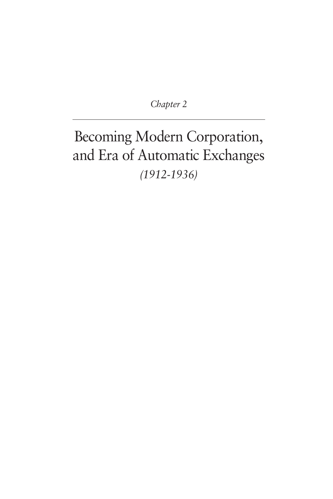*Chapter 2*

# Becoming Modern Corporation, and Era of Automatic Exchanges *(1912-1936)*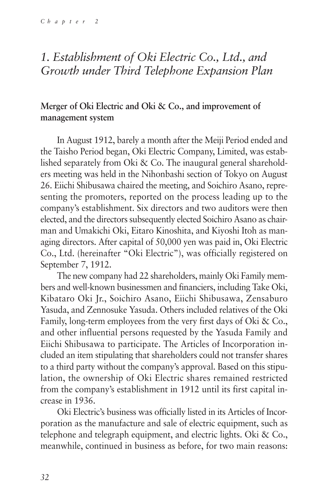# *1. Establishment of Oki Electric Co., Ltd., and Growth under Third Telephone Expansion Plan*

# **Merger of Oki Electric and Oki & Co., and improvement of management system**

In August 1912, barely a month after the Meiji Period ended and the Taisho Period began, Oki Electric Company, Limited, was established separately from Oki & Co. The inaugural general shareholders meeting was held in the Nihonbashi section of Tokyo on August 26. Eiichi Shibusawa chaired the meeting, and Soichiro Asano, representing the promoters, reported on the process leading up to the company's establishment. Six directors and two auditors were then elected, and the directors subsequently elected Soichiro Asano as chairman and Umakichi Oki, Eitaro Kinoshita, and Kiyoshi Itoh as managing directors. After capital of 50,000 yen was paid in, Oki Electric Co., Ltd. (hereinafter "Oki Electric"), was officially registered on September 7, 1912.

The new company had 22 shareholders, mainly Oki Family members and well-known businessmen and financiers, including Take Oki, Kibataro Oki Jr., Soichiro Asano, Eiichi Shibusawa, Zensaburo Yasuda, and Zennosuke Yasuda. Others included relatives of the Oki Family, long-term employees from the very first days of Oki & Co., and other influential persons requested by the Yasuda Family and Eiichi Shibusawa to participate. The Articles of Incorporation included an item stipulating that shareholders could not transfer shares to a third party without the company's approval. Based on this stipulation, the ownership of Oki Electric shares remained restricted from the company's establishment in 1912 until its first capital increase in 1936.

Oki Electric's business was officially listed in its Articles of Incorporation as the manufacture and sale of electric equipment, such as telephone and telegraph equipment, and electric lights. Oki & Co., meanwhile, continued in business as before, for two main reasons: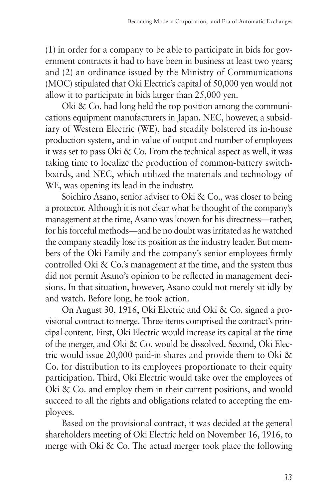(1) in order for a company to be able to participate in bids for government contracts it had to have been in business at least two years; and (2) an ordinance issued by the Ministry of Communications (MOC) stipulated that Oki Electric's capital of 50,000 yen would not allow it to participate in bids larger than 25,000 yen.

Oki & Co. had long held the top position among the communications equipment manufacturers in Japan. NEC, however, a subsidiary of Western Electric (WE), had steadily bolstered its in-house production system, and in value of output and number of employees it was set to pass Oki & Co. From the technical aspect as well, it was taking time to localize the production of common-battery switchboards, and NEC, which utilized the materials and technology of WE, was opening its lead in the industry.

Soichiro Asano, senior adviser to Oki & Co., was closer to being a protector. Although it is not clear what he thought of the company's management at the time, Asano was known for his directness—rather, for his forceful methods—and he no doubt was irritated as he watched the company steadily lose its position as the industry leader. But members of the Oki Family and the company's senior employees firmly controlled Oki & Co.'s management at the time, and the system thus did not permit Asano's opinion to be reflected in management decisions. In that situation, however, Asano could not merely sit idly by and watch. Before long, he took action.

On August 30, 1916, Oki Electric and Oki & Co. signed a provisional contract to merge. Three items comprised the contract's principal content. First, Oki Electric would increase its capital at the time of the merger, and Oki & Co. would be dissolved. Second, Oki Electric would issue 20,000 paid-in shares and provide them to Oki & Co. for distribution to its employees proportionate to their equity participation. Third, Oki Electric would take over the employees of Oki & Co. and employ them in their current positions, and would succeed to all the rights and obligations related to accepting the employees.

Based on the provisional contract, it was decided at the general shareholders meeting of Oki Electric held on November 16, 1916, to merge with Oki & Co. The actual merger took place the following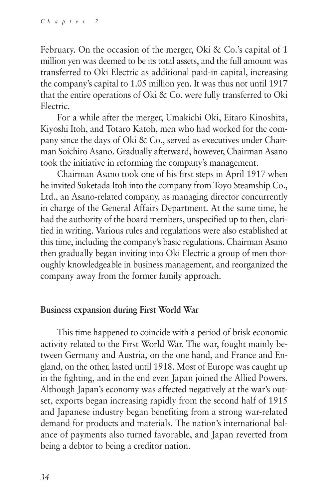February. On the occasion of the merger, Oki & Co.'s capital of 1 million yen was deemed to be its total assets, and the full amount was transferred to Oki Electric as additional paid-in capital, increasing the company's capital to 1.05 million yen. It was thus not until 1917 that the entire operations of Oki & Co. were fully transferred to Oki Electric.

For a while after the merger, Umakichi Oki, Eitaro Kinoshita, Kiyoshi Itoh, and Totaro Katoh, men who had worked for the company since the days of Oki & Co., served as executives under Chairman Soichiro Asano. Gradually afterward, however, Chairman Asano took the initiative in reforming the company's management.

Chairman Asano took one of his first steps in April 1917 when he invited Suketada Itoh into the company from Toyo Steamship Co., Ltd., an Asano-related company, as managing director concurrently in charge of the General Affairs Department. At the same time, he had the authority of the board members, unspecified up to then, clarified in writing. Various rules and regulations were also established at this time, including the company's basic regulations. Chairman Asano then gradually began inviting into Oki Electric a group of men thoroughly knowledgeable in business management, and reorganized the company away from the former family approach.

### **Business expansion during First World War**

This time happened to coincide with a period of brisk economic activity related to the First World War. The war, fought mainly between Germany and Austria, on the one hand, and France and England, on the other, lasted until 1918. Most of Europe was caught up in the fighting, and in the end even Japan joined the Allied Powers. Although Japan's economy was affected negatively at the war's outset, exports began increasing rapidly from the second half of 1915 and Japanese industry began benefiting from a strong war-related demand for products and materials. The nation's international balance of payments also turned favorable, and Japan reverted from being a debtor to being a creditor nation.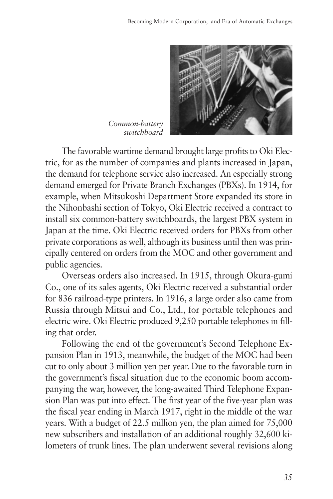

*Common-battery switchboard*

The favorable wartime demand brought large profits to Oki Electric, for as the number of companies and plants increased in Japan, the demand for telephone service also increased. An especially strong demand emerged for Private Branch Exchanges (PBXs). In 1914, for example, when Mitsukoshi Department Store expanded its store in the Nihonbashi section of Tokyo, Oki Electric received a contract to install six common-battery switchboards, the largest PBX system in Japan at the time. Oki Electric received orders for PBXs from other private corporations as well, although its business until then was principally centered on orders from the MOC and other government and public agencies.

Overseas orders also increased. In 1915, through Okura-gumi Co., one of its sales agents, Oki Electric received a substantial order for 836 railroad-type printers. In 1916, a large order also came from Russia through Mitsui and Co., Ltd., for portable telephones and electric wire. Oki Electric produced 9,250 portable telephones in filling that order.

Following the end of the government's Second Telephone Expansion Plan in 1913, meanwhile, the budget of the MOC had been cut to only about 3 million yen per year. Due to the favorable turn in the government's fiscal situation due to the economic boom accompanying the war, however, the long-awaited Third Telephone Expansion Plan was put into effect. The first year of the five-year plan was the fiscal year ending in March 1917, right in the middle of the war years. With a budget of 22.5 million yen, the plan aimed for 75,000 new subscribers and installation of an additional roughly 32,600 kilometers of trunk lines. The plan underwent several revisions along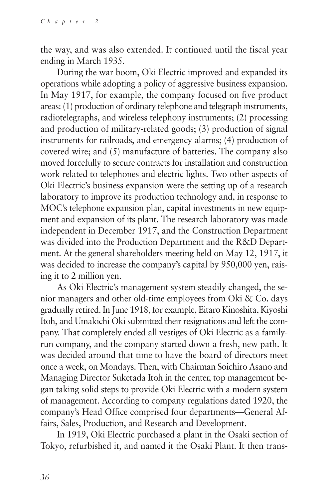the way, and was also extended. It continued until the fiscal year ending in March 1935.

During the war boom, Oki Electric improved and expanded its operations while adopting a policy of aggressive business expansion. In May 1917, for example, the company focused on five product areas: (1) production of ordinary telephone and telegraph instruments, radiotelegraphs, and wireless telephony instruments; (2) processing and production of military-related goods; (3) production of signal instruments for railroads, and emergency alarms; (4) production of covered wire; and (5) manufacture of batteries. The company also moved forcefully to secure contracts for installation and construction work related to telephones and electric lights. Two other aspects of Oki Electric's business expansion were the setting up of a research laboratory to improve its production technology and, in response to MOC's telephone expansion plan, capital investments in new equipment and expansion of its plant. The research laboratory was made independent in December 1917, and the Construction Department was divided into the Production Department and the R&D Department. At the general shareholders meeting held on May 12, 1917, it was decided to increase the company's capital by 950,000 yen, raising it to 2 million yen.

As Oki Electric's management system steadily changed, the senior managers and other old-time employees from Oki & Co. days gradually retired. In June 1918, for example, Eitaro Kinoshita, Kiyoshi Itoh, and Umakichi Oki submitted their resignations and left the company. That completely ended all vestiges of Oki Electric as a familyrun company, and the company started down a fresh, new path. It was decided around that time to have the board of directors meet once a week, on Mondays. Then, with Chairman Soichiro Asano and Managing Director Suketada Itoh in the center, top management began taking solid steps to provide Oki Electric with a modern system of management. According to company regulations dated 1920, the company's Head Office comprised four departments—General Affairs, Sales, Production, and Research and Development.

In 1919, Oki Electric purchased a plant in the Osaki section of Tokyo, refurbished it, and named it the Osaki Plant. It then trans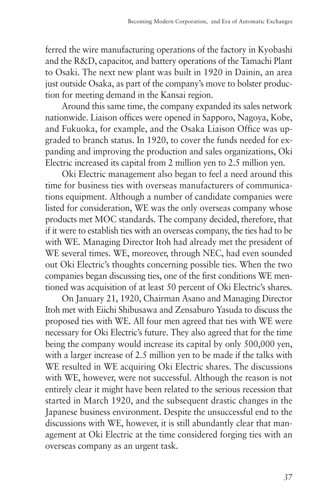ferred the wire manufacturing operations of the factory in Kyobashi and the R&D, capacitor, and battery operations of the Tamachi Plant to Osaki. The next new plant was built in 1920 in Dainin, an area just outside Osaka, as part of the company's move to bolster production for meeting demand in the Kansai region.

Around this same time, the company expanded its sales network nationwide. Liaison offices were opened in Sapporo, Nagoya, Kobe, and Fukuoka, for example, and the Osaka Liaison Office was upgraded to branch status. In 1920, to cover the funds needed for expanding and improving the production and sales organizations, Oki Electric increased its capital from 2 million yen to 2.5 million yen.

Oki Electric management also began to feel a need around this time for business ties with overseas manufacturers of communications equipment. Although a number of candidate companies were listed for consideration, WE was the only overseas company whose products met MOC standards. The company decided, therefore, that if it were to establish ties with an overseas company, the ties had to be with WE. Managing Director Itoh had already met the president of WE several times. WE, moreover, through NEC, had even sounded out Oki Electric's thoughts concerning possible ties. When the two companies began discussing ties, one of the first conditions WE mentioned was acquisition of at least 50 percent of Oki Electric's shares.

On January 21, 1920, Chairman Asano and Managing Director Itoh met with Eiichi Shibusawa and Zensaburo Yasuda to discuss the proposed ties with WE. All four men agreed that ties with WE were necessary for Oki Electric's future. They also agreed that for the time being the company would increase its capital by only 500,000 yen, with a larger increase of 2.5 million yen to be made if the talks with WE resulted in WE acquiring Oki Electric shares. The discussions with WE, however, were not successful. Although the reason is not entirely clear it might have been related to the serious recession that started in March 1920, and the subsequent drastic changes in the Japanese business environment. Despite the unsuccessful end to the discussions with WE, however, it is still abundantly clear that management at Oki Electric at the time considered forging ties with an overseas company as an urgent task.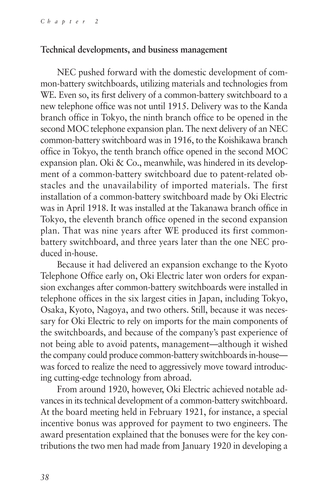### **Technical developments, and business management**

NEC pushed forward with the domestic development of common-battery switchboards, utilizing materials and technologies from WE. Even so, its first delivery of a common-battery switchboard to a new telephone office was not until 1915. Delivery was to the Kanda branch office in Tokyo, the ninth branch office to be opened in the second MOC telephone expansion plan. The next delivery of an NEC common-battery switchboard was in 1916, to the Koishikawa branch office in Tokyo, the tenth branch office opened in the second MOC expansion plan. Oki & Co., meanwhile, was hindered in its development of a common-battery switchboard due to patent-related obstacles and the unavailability of imported materials. The first installation of a common-battery switchboard made by Oki Electric was in April 1918. It was installed at the Takanawa branch office in Tokyo, the eleventh branch office opened in the second expansion plan. That was nine years after WE produced its first commonbattery switchboard, and three years later than the one NEC produced in-house.

Because it had delivered an expansion exchange to the Kyoto Telephone Office early on, Oki Electric later won orders for expansion exchanges after common-battery switchboards were installed in telephone offices in the six largest cities in Japan, including Tokyo, Osaka, Kyoto, Nagoya, and two others. Still, because it was necessary for Oki Electric to rely on imports for the main components of the switchboards, and because of the company's past experience of not being able to avoid patents, management—although it wished the company could produce common-battery switchboards in-house was forced to realize the need to aggressively move toward introducing cutting-edge technology from abroad.

From around 1920, however, Oki Electric achieved notable advances in its technical development of a common-battery switchboard. At the board meeting held in February 1921, for instance, a special incentive bonus was approved for payment to two engineers. The award presentation explained that the bonuses were for the key contributions the two men had made from January 1920 in developing a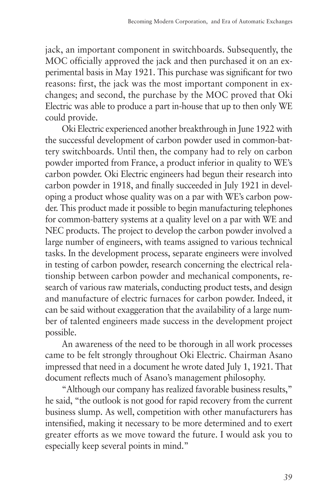jack, an important component in switchboards. Subsequently, the MOC officially approved the jack and then purchased it on an experimental basis in May 1921. This purchase was significant for two reasons: first, the jack was the most important component in exchanges; and second, the purchase by the MOC proved that Oki Electric was able to produce a part in-house that up to then only WE could provide.

Oki Electric experienced another breakthrough in June 1922 with the successful development of carbon powder used in common-battery switchboards. Until then, the company had to rely on carbon powder imported from France, a product inferior in quality to WE's carbon powder. Oki Electric engineers had begun their research into carbon powder in 1918, and finally succeeded in July 1921 in developing a product whose quality was on a par with WE's carbon powder. This product made it possible to begin manufacturing telephones for common-battery systems at a quality level on a par with WE and NEC products. The project to develop the carbon powder involved a large number of engineers, with teams assigned to various technical tasks. In the development process, separate engineers were involved in testing of carbon powder, research concerning the electrical relationship between carbon powder and mechanical components, research of various raw materials, conducting product tests, and design and manufacture of electric furnaces for carbon powder. Indeed, it can be said without exaggeration that the availability of a large number of talented engineers made success in the development project possible.

An awareness of the need to be thorough in all work processes came to be felt strongly throughout Oki Electric. Chairman Asano impressed that need in a document he wrote dated July 1, 1921. That document reflects much of Asano's management philosophy.

"Although our company has realized favorable business results," he said, "the outlook is not good for rapid recovery from the current business slump. As well, competition with other manufacturers has intensified, making it necessary to be more determined and to exert greater efforts as we move toward the future. I would ask you to especially keep several points in mind."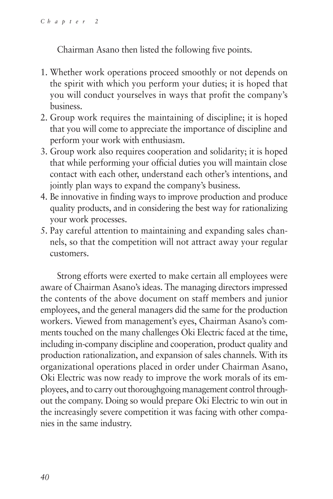Chairman Asano then listed the following five points.

- 1. Whether work operations proceed smoothly or not depends on the spirit with which you perform your duties; it is hoped that you will conduct yourselves in ways that profit the company's business.
- 2. Group work requires the maintaining of discipline; it is hoped that you will come to appreciate the importance of discipline and perform your work with enthusiasm.
- 3. Group work also requires cooperation and solidarity; it is hoped that while performing your official duties you will maintain close contact with each other, understand each other's intentions, and jointly plan ways to expand the company's business.
- 4. Be innovative in finding ways to improve production and produce quality products, and in considering the best way for rationalizing your work processes.
- 5. Pay careful attention to maintaining and expanding sales channels, so that the competition will not attract away your regular customers.

Strong efforts were exerted to make certain all employees were aware of Chairman Asano's ideas. The managing directors impressed the contents of the above document on staff members and junior employees, and the general managers did the same for the production workers. Viewed from management's eyes, Chairman Asano's comments touched on the many challenges Oki Electric faced at the time, including in-company discipline and cooperation, product quality and production rationalization, and expansion of sales channels. With its organizational operations placed in order under Chairman Asano, Oki Electric was now ready to improve the work morals of its employees, and to carry out thoroughgoing management control throughout the company. Doing so would prepare Oki Electric to win out in the increasingly severe competition it was facing with other companies in the same industry.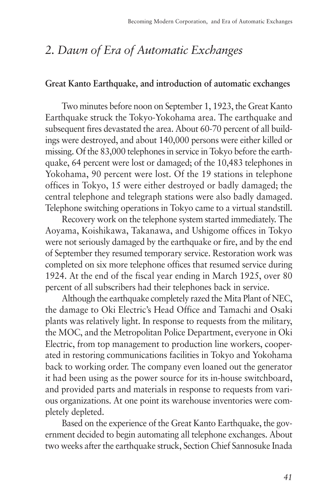# *2. Dawn of Era of Automatic Exchanges*

#### **Great Kanto Earthquake, and introduction of automatic exchanges**

Two minutes before noon on September 1, 1923, the Great Kanto Earthquake struck the Tokyo-Yokohama area. The earthquake and subsequent fires devastated the area. About 60-70 percent of all buildings were destroyed, and about 140,000 persons were either killed or missing. Of the 83,000 telephones in service in Tokyo before the earthquake, 64 percent were lost or damaged; of the 10,483 telephones in Yokohama, 90 percent were lost. Of the 19 stations in telephone offices in Tokyo, 15 were either destroyed or badly damaged; the central telephone and telegraph stations were also badly damaged. Telephone switching operations in Tokyo came to a virtual standstill.

Recovery work on the telephone system started immediately. The Aoyama, Koishikawa, Takanawa, and Ushigome offices in Tokyo were not seriously damaged by the earthquake or fire, and by the end of September they resumed temporary service. Restoration work was completed on six more telephone offices that resumed service during 1924. At the end of the fiscal year ending in March 1925, over 80 percent of all subscribers had their telephones back in service.

Although the earthquake completely razed the Mita Plant of NEC, the damage to Oki Electric's Head Office and Tamachi and Osaki plants was relatively light. In response to requests from the military, the MOC, and the Metropolitan Police Department, everyone in Oki Electric, from top management to production line workers, cooperated in restoring communications facilities in Tokyo and Yokohama back to working order. The company even loaned out the generator it had been using as the power source for its in-house switchboard, and provided parts and materials in response to requests from various organizations. At one point its warehouse inventories were completely depleted.

Based on the experience of the Great Kanto Earthquake, the government decided to begin automating all telephone exchanges. About two weeks after the earthquake struck, Section Chief Sannosuke Inada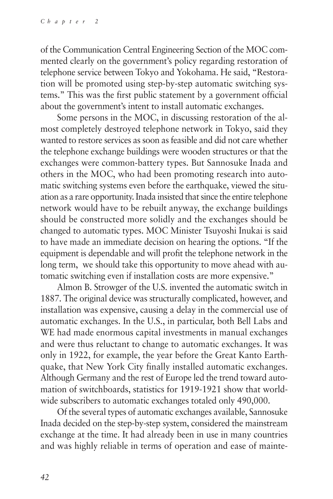of the Communication Central Engineering Section of the MOC commented clearly on the government's policy regarding restoration of telephone service between Tokyo and Yokohama. He said, "Restoration will be promoted using step-by-step automatic switching systems." This was the first public statement by a government official about the government's intent to install automatic exchanges.

Some persons in the MOC, in discussing restoration of the almost completely destroyed telephone network in Tokyo, said they wanted to restore services as soon as feasible and did not care whether the telephone exchange buildings were wooden structures or that the exchanges were common-battery types. But Sannosuke Inada and others in the MOC, who had been promoting research into automatic switching systems even before the earthquake, viewed the situation as a rare opportunity. Inada insisted that since the entire telephone network would have to be rebuilt anyway, the exchange buildings should be constructed more solidly and the exchanges should be changed to automatic types. MOC Minister Tsuyoshi Inukai is said to have made an immediate decision on hearing the options. "If the equipment is dependable and will profit the telephone network in the long term, we should take this opportunity to move ahead with automatic switching even if installation costs are more expensive."

Almon B. Strowger of the U.S. invented the automatic switch in 1887. The original device was structurally complicated, however, and installation was expensive, causing a delay in the commercial use of automatic exchanges. In the U.S., in particular, both Bell Labs and WE had made enormous capital investments in manual exchanges and were thus reluctant to change to automatic exchanges. It was only in 1922, for example, the year before the Great Kanto Earthquake, that New York City finally installed automatic exchanges. Although Germany and the rest of Europe led the trend toward automation of switchboards, statistics for 1919-1921 show that worldwide subscribers to automatic exchanges totaled only 490,000.

Of the several types of automatic exchanges available, Sannosuke Inada decided on the step-by-step system, considered the mainstream exchange at the time. It had already been in use in many countries and was highly reliable in terms of operation and ease of mainte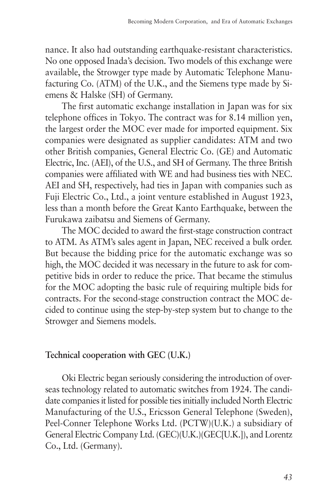nance. It also had outstanding earthquake-resistant characteristics. No one opposed Inada's decision. Two models of this exchange were available, the Strowger type made by Automatic Telephone Manufacturing Co. (ATM) of the U.K., and the Siemens type made by Siemens & Halske (SH) of Germany.

The first automatic exchange installation in Japan was for six telephone offices in Tokyo. The contract was for 8.14 million yen, the largest order the MOC ever made for imported equipment. Six companies were designated as supplier candidates: ATM and two other British companies, General Electric Co. (GE) and Automatic Electric, Inc. (AEI), of the U.S., and SH of Germany. The three British companies were affiliated with WE and had business ties with NEC. AEI and SH, respectively, had ties in Japan with companies such as Fuji Electric Co., Ltd., a joint venture established in August 1923, less than a month before the Great Kanto Earthquake, between the Furukawa zaibatsu and Siemens of Germany.

The MOC decided to award the first-stage construction contract to ATM. As ATM's sales agent in Japan, NEC received a bulk order. But because the bidding price for the automatic exchange was so high, the MOC decided it was necessary in the future to ask for competitive bids in order to reduce the price. That became the stimulus for the MOC adopting the basic rule of requiring multiple bids for contracts. For the second-stage construction contract the MOC decided to continue using the step-by-step system but to change to the Strowger and Siemens models.

# **Technical cooperation with GEC (U.K.)**

Oki Electric began seriously considering the introduction of overseas technology related to automatic switches from 1924. The candidate companies it listed for possible ties initially included North Electric Manufacturing of the U.S., Ericsson General Telephone (Sweden), Peel-Conner Telephone Works Ltd. (PCTW)(U.K.) a subsidiary of General Electric Company Ltd. (GEC)(U.K.)(GEC[U.K.]), and Lorentz Co., Ltd. (Germany).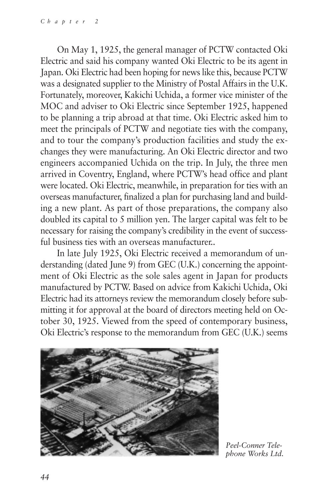On May 1, 1925, the general manager of PCTW contacted Oki Electric and said his company wanted Oki Electric to be its agent in Japan. Oki Electric had been hoping for news like this, because PCTW was a designated supplier to the Ministry of Postal Affairs in the U.K. Fortunately, moreover, Kakichi Uchida, a former vice minister of the MOC and adviser to Oki Electric since September 1925, happened to be planning a trip abroad at that time. Oki Electric asked him to meet the principals of PCTW and negotiate ties with the company, and to tour the company's production facilities and study the exchanges they were manufacturing. An Oki Electric director and two engineers accompanied Uchida on the trip. In July, the three men arrived in Coventry, England, where PCTW's head office and plant were located. Oki Electric, meanwhile, in preparation for ties with an overseas manufacturer, finalized a plan for purchasing land and building a new plant. As part of those preparations, the company also doubled its capital to 5 million yen. The larger capital was felt to be necessary for raising the company's credibility in the event of successful business ties with an overseas manufacturer..

In late July 1925, Oki Electric received a memorandum of understanding (dated June 9) from GEC (U.K.) concerning the appointment of Oki Electric as the sole sales agent in Japan for products manufactured by PCTW. Based on advice from Kakichi Uchida, Oki Electric had its attorneys review the memorandum closely before submitting it for approval at the board of directors meeting held on October 30, 1925. Viewed from the speed of contemporary business, Oki Electric's response to the memorandum from GEC (U.K.) seems



*Peel-Conner Telephone Works Ltd.*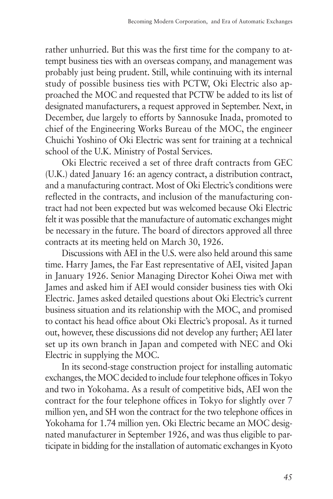rather unhurried. But this was the first time for the company to attempt business ties with an overseas company, and management was probably just being prudent. Still, while continuing with its internal study of possible business ties with PCTW, Oki Electric also approached the MOC and requested that PCTW be added to its list of designated manufacturers, a request approved in September. Next, in December, due largely to efforts by Sannosuke Inada, promoted to chief of the Engineering Works Bureau of the MOC, the engineer Chuichi Yoshino of Oki Electric was sent for training at a technical school of the U.K. Ministry of Postal Services.

Oki Electric received a set of three draft contracts from GEC (U.K.) dated January 16: an agency contract, a distribution contract, and a manufacturing contract. Most of Oki Electric's conditions were reflected in the contracts, and inclusion of the manufacturing contract had not been expected but was welcomed because Oki Electric felt it was possible that the manufacture of automatic exchanges might be necessary in the future. The board of directors approved all three contracts at its meeting held on March 30, 1926.

Discussions with AEI in the U.S. were also held around this same time. Harry James, the Far East representative of AEI, visited Japan in January 1926. Senior Managing Director Kohei Oiwa met with James and asked him if AEI would consider business ties with Oki Electric. James asked detailed questions about Oki Electric's current business situation and its relationship with the MOC, and promised to contact his head office about Oki Electric's proposal. As it turned out, however, these discussions did not develop any further; AEI later set up its own branch in Japan and competed with NEC and Oki Electric in supplying the MOC.

In its second-stage construction project for installing automatic exchanges, the MOC decided to include four telephone offices in Tokyo and two in Yokohama. As a result of competitive bids, AEI won the contract for the four telephone offices in Tokyo for slightly over 7 million yen, and SH won the contract for the two telephone offices in Yokohama for 1.74 million yen. Oki Electric became an MOC designated manufacturer in September 1926, and was thus eligible to participate in bidding for the installation of automatic exchanges in Kyoto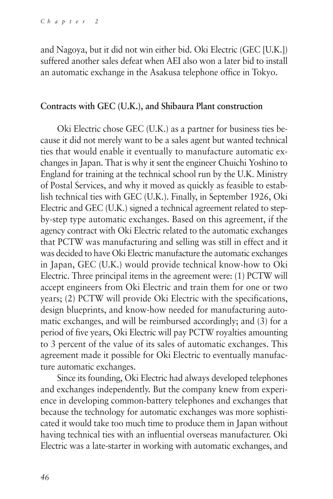and Nagoya, but it did not win either bid. Oki Electric (GEC [U.K.]) suffered another sales defeat when AEI also won a later bid to install an automatic exchange in the Asakusa telephone office in Tokyo.

#### **Contracts with GEC (U.K.), and Shibaura Plant construction**

Oki Electric chose GEC (U.K.) as a partner for business ties because it did not merely want to be a sales agent but wanted technical ties that would enable it eventually to manufacture automatic exchanges in Japan. That is why it sent the engineer Chuichi Yoshino to England for training at the technical school run by the U.K. Ministry of Postal Services, and why it moved as quickly as feasible to establish technical ties with GEC (U.K.). Finally, in September 1926, Oki Electric and GEC (U.K.) signed a technical agreement related to stepby-step type automatic exchanges. Based on this agreement, if the agency contract with Oki Electric related to the automatic exchanges that PCTW was manufacturing and selling was still in effect and it was decided to have Oki Electric manufacture the automatic exchanges in Japan, GEC (U.K.) would provide technical know-how to Oki Electric. Three principal items in the agreement were: (1) PCTW will accept engineers from Oki Electric and train them for one or two years; (2) PCTW will provide Oki Electric with the specifications, design blueprints, and know-how needed for manufacturing automatic exchanges, and will be reimbursed accordingly; and (3) for a period of five years, Oki Electric will pay PCTW royalties amounting to 3 percent of the value of its sales of automatic exchanges. This agreement made it possible for Oki Electric to eventually manufacture automatic exchanges.

Since its founding, Oki Electric had always developed telephones and exchanges independently. But the company knew from experience in developing common-battery telephones and exchanges that because the technology for automatic exchanges was more sophisticated it would take too much time to produce them in Japan without having technical ties with an influential overseas manufacturer. Oki Electric was a late-starter in working with automatic exchanges, and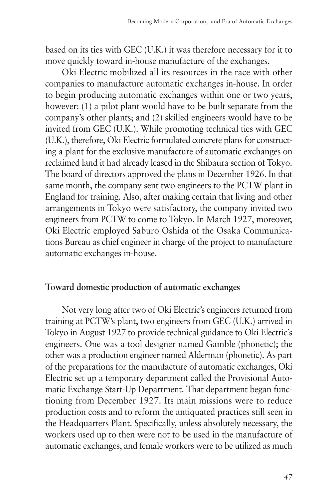based on its ties with GEC (U.K.) it was therefore necessary for it to move quickly toward in-house manufacture of the exchanges.

Oki Electric mobilized all its resources in the race with other companies to manufacture automatic exchanges in-house. In order to begin producing automatic exchanges within one or two years, however: (1) a pilot plant would have to be built separate from the company's other plants; and (2) skilled engineers would have to be invited from GEC (U.K.). While promoting technical ties with GEC (U.K.), therefore, Oki Electric formulated concrete plans for constructing a plant for the exclusive manufacture of automatic exchanges on reclaimed land it had already leased in the Shibaura section of Tokyo. The board of directors approved the plans in December 1926. In that same month, the company sent two engineers to the PCTW plant in England for training. Also, after making certain that living and other arrangements in Tokyo were satisfactory, the company invited two engineers from PCTW to come to Tokyo. In March 1927, moreover, Oki Electric employed Saburo Oshida of the Osaka Communications Bureau as chief engineer in charge of the project to manufacture automatic exchanges in-house.

# **Toward domestic production of automatic exchanges**

Not very long after two of Oki Electric's engineers returned from training at PCTW's plant, two engineers from GEC (U.K.) arrived in Tokyo in August 1927 to provide technical guidance to Oki Electric's engineers. One was a tool designer named Gamble (phonetic); the other was a production engineer named Alderman (phonetic). As part of the preparations for the manufacture of automatic exchanges, Oki Electric set up a temporary department called the Provisional Automatic Exchange Start-Up Department. That department began functioning from December 1927. Its main missions were to reduce production costs and to reform the antiquated practices still seen in the Headquarters Plant. Specifically, unless absolutely necessary, the workers used up to then were not to be used in the manufacture of automatic exchanges, and female workers were to be utilized as much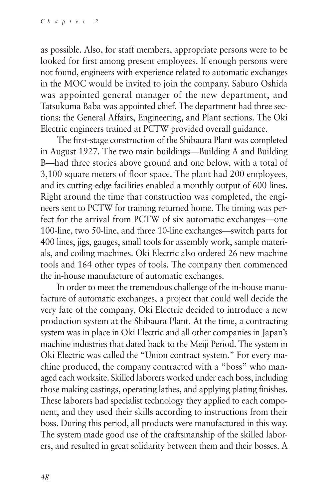as possible. Also, for staff members, appropriate persons were to be looked for first among present employees. If enough persons were not found, engineers with experience related to automatic exchanges in the MOC would be invited to join the company. Saburo Oshida was appointed general manager of the new department, and Tatsukuma Baba was appointed chief. The department had three sections: the General Affairs, Engineering, and Plant sections. The Oki Electric engineers trained at PCTW provided overall guidance.

The first-stage construction of the Shibaura Plant was completed in August 1927. The two main buildings—Building A and Building B—had three stories above ground and one below, with a total of 3,100 square meters of floor space. The plant had 200 employees, and its cutting-edge facilities enabled a monthly output of 600 lines. Right around the time that construction was completed, the engineers sent to PCTW for training returned home. The timing was perfect for the arrival from PCTW of six automatic exchanges—one 100-line, two 50-line, and three 10-line exchanges—switch parts for 400 lines, jigs, gauges, small tools for assembly work, sample materials, and coiling machines. Oki Electric also ordered 26 new machine tools and 164 other types of tools. The company then commenced the in-house manufacture of automatic exchanges.

In order to meet the tremendous challenge of the in-house manufacture of automatic exchanges, a project that could well decide the very fate of the company, Oki Electric decided to introduce a new production system at the Shibaura Plant. At the time, a contracting system was in place in Oki Electric and all other companies in Japan's machine industries that dated back to the Meiji Period. The system in Oki Electric was called the "Union contract system." For every machine produced, the company contracted with a "boss" who managed each worksite. Skilled laborers worked under each boss, including those making castings, operating lathes, and applying plating finishes. These laborers had specialist technology they applied to each component, and they used their skills according to instructions from their boss. During this period, all products were manufactured in this way. The system made good use of the craftsmanship of the skilled laborers, and resulted in great solidarity between them and their bosses. A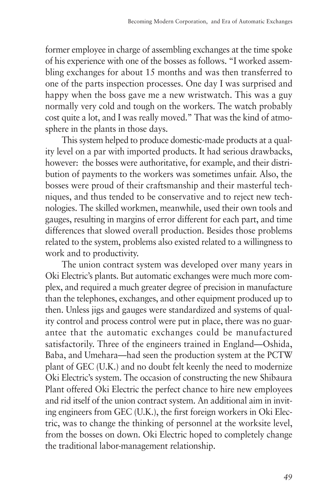former employee in charge of assembling exchanges at the time spoke of his experience with one of the bosses as follows. "I worked assembling exchanges for about 15 months and was then transferred to one of the parts inspection processes. One day I was surprised and happy when the boss gave me a new wristwatch. This was a guy normally very cold and tough on the workers. The watch probably cost quite a lot, and I was really moved." That was the kind of atmosphere in the plants in those days.

This system helped to produce domestic-made products at a quality level on a par with imported products. It had serious drawbacks, however: the bosses were authoritative, for example, and their distribution of payments to the workers was sometimes unfair. Also, the bosses were proud of their craftsmanship and their masterful techniques, and thus tended to be conservative and to reject new technologies. The skilled workmen, meanwhile, used their own tools and gauges, resulting in margins of error different for each part, and time differences that slowed overall production. Besides those problems related to the system, problems also existed related to a willingness to work and to productivity.

The union contract system was developed over many years in Oki Electric's plants. But automatic exchanges were much more complex, and required a much greater degree of precision in manufacture than the telephones, exchanges, and other equipment produced up to then. Unless jigs and gauges were standardized and systems of quality control and process control were put in place, there was no guarantee that the automatic exchanges could be manufactured satisfactorily. Three of the engineers trained in England—Oshida, Baba, and Umehara—had seen the production system at the PCTW plant of GEC (U.K.) and no doubt felt keenly the need to modernize Oki Electric's system. The occasion of constructing the new Shibaura Plant offered Oki Electric the perfect chance to hire new employees and rid itself of the union contract system. An additional aim in inviting engineers from GEC (U.K.), the first foreign workers in Oki Electric, was to change the thinking of personnel at the worksite level, from the bosses on down. Oki Electric hoped to completely change the traditional labor-management relationship.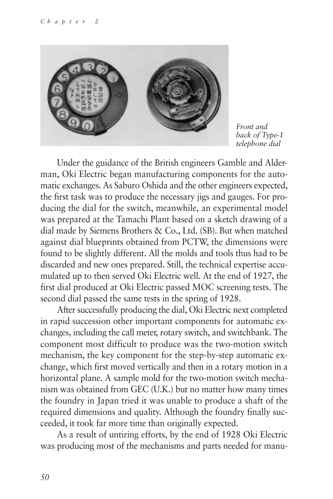

*Front and back of Type-1 telephone dial*

Under the guidance of the British engineers Gamble and Alderman, Oki Electric began manufacturing components for the automatic exchanges. As Saburo Oshida and the other engineers expected, the first task was to produce the necessary jigs and gauges. For producing the dial for the switch, meanwhile, an experimental model was prepared at the Tamachi Plant based on a sketch drawing of a dial made by Siemens Brothers & Co., Ltd. (SB). But when matched against dial blueprints obtained from PCTW, the dimensions were found to be slightly different. All the molds and tools thus had to be discarded and new ones prepared. Still, the technical expertise accumulated up to then served Oki Electric well. At the end of 1927, the first dial produced at Oki Electric passed MOC screening tests. The second dial passed the same tests in the spring of 1928.

After successfully producing the dial, Oki Electric next completed in rapid succession other important components for automatic exchanges, including the call meter, rotary switch, and switchbank. The component most difficult to produce was the two-motion switch mechanism, the key component for the step-by-step automatic exchange, which first moved vertically and then in a rotary motion in a horizontal plane. A sample mold for the two-motion switch mechanism was obtained from GEC (U.K.) but no matter how many times the foundry in Japan tried it was unable to produce a shaft of the required dimensions and quality. Although the foundry finally succeeded, it took far more time than originally expected.

As a result of untiring efforts, by the end of 1928 Oki Electric was producing most of the mechanisms and parts needed for manu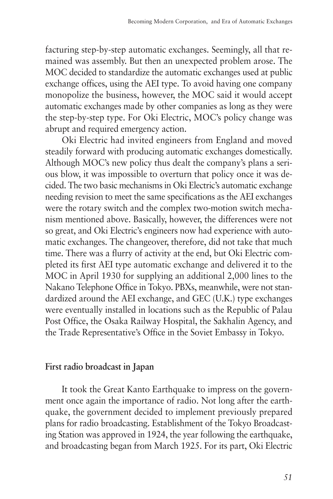facturing step-by-step automatic exchanges. Seemingly, all that remained was assembly. But then an unexpected problem arose. The MOC decided to standardize the automatic exchanges used at public exchange offices, using the AEI type. To avoid having one company monopolize the business, however, the MOC said it would accept automatic exchanges made by other companies as long as they were the step-by-step type. For Oki Electric, MOC's policy change was abrupt and required emergency action.

Oki Electric had invited engineers from England and moved steadily forward with producing automatic exchanges domestically. Although MOC's new policy thus dealt the company's plans a serious blow, it was impossible to overturn that policy once it was decided. The two basic mechanisms in Oki Electric's automatic exchange needing revision to meet the same specifications as the AEI exchanges were the rotary switch and the complex two-motion switch mechanism mentioned above. Basically, however, the differences were not so great, and Oki Electric's engineers now had experience with automatic exchanges. The changeover, therefore, did not take that much time. There was a flurry of activity at the end, but Oki Electric completed its first AEI type automatic exchange and delivered it to the MOC in April 1930 for supplying an additional 2,000 lines to the Nakano Telephone Office in Tokyo. PBXs, meanwhile, were not standardized around the AEI exchange, and GEC (U.K.) type exchanges were eventually installed in locations such as the Republic of Palau Post Office, the Osaka Railway Hospital, the Sakhalin Agency, and the Trade Representative's Office in the Soviet Embassy in Tokyo.

# **First radio broadcast in Japan**

It took the Great Kanto Earthquake to impress on the government once again the importance of radio. Not long after the earthquake, the government decided to implement previously prepared plans for radio broadcasting. Establishment of the Tokyo Broadcasting Station was approved in 1924, the year following the earthquake, and broadcasting began from March 1925. For its part, Oki Electric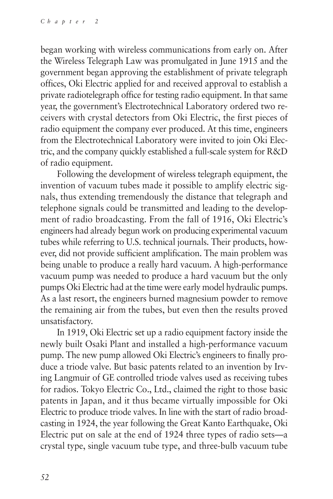began working with wireless communications from early on. After the Wireless Telegraph Law was promulgated in June 1915 and the government began approving the establishment of private telegraph offices, Oki Electric applied for and received approval to establish a private radiotelegraph office for testing radio equipment. In that same year, the government's Electrotechnical Laboratory ordered two receivers with crystal detectors from Oki Electric, the first pieces of radio equipment the company ever produced. At this time, engineers from the Electrotechnical Laboratory were invited to join Oki Electric, and the company quickly established a full-scale system for R&D of radio equipment.

Following the development of wireless telegraph equipment, the invention of vacuum tubes made it possible to amplify electric signals, thus extending tremendously the distance that telegraph and telephone signals could be transmitted and leading to the development of radio broadcasting. From the fall of 1916, Oki Electric's engineers had already begun work on producing experimental vacuum tubes while referring to U.S. technical journals. Their products, however, did not provide sufficient amplification. The main problem was being unable to produce a really hard vacuum. A high-performance vacuum pump was needed to produce a hard vacuum but the only pumps Oki Electric had at the time were early model hydraulic pumps. As a last resort, the engineers burned magnesium powder to remove the remaining air from the tubes, but even then the results proved unsatisfactory.

In 1919, Oki Electric set up a radio equipment factory inside the newly built Osaki Plant and installed a high-performance vacuum pump. The new pump allowed Oki Electric's engineers to finally produce a triode valve. But basic patents related to an invention by Irving Langmuir of GE controlled triode valves used as receiving tubes for radios. Tokyo Electric Co., Ltd., claimed the right to those basic patents in Japan, and it thus became virtually impossible for Oki Electric to produce triode valves. In line with the start of radio broadcasting in 1924, the year following the Great Kanto Earthquake, Oki Electric put on sale at the end of 1924 three types of radio sets—a crystal type, single vacuum tube type, and three-bulb vacuum tube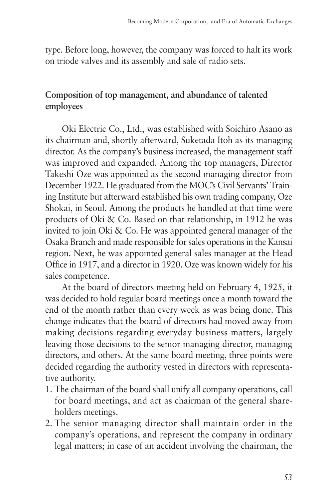type. Before long, however, the company was forced to halt its work on triode valves and its assembly and sale of radio sets.

# **Composition of top management, and abundance of talented employees**

Oki Electric Co., Ltd., was established with Soichiro Asano as its chairman and, shortly afterward, Suketada Itoh as its managing director. As the company's business increased, the management staff was improved and expanded. Among the top managers, Director Takeshi Oze was appointed as the second managing director from December 1922. He graduated from the MOC's Civil Servants' Training Institute but afterward established his own trading company, Oze Shokai, in Seoul. Among the products he handled at that time were products of Oki & Co. Based on that relationship, in 1912 he was invited to join Oki & Co. He was appointed general manager of the Osaka Branch and made responsible for sales operations in the Kansai region. Next, he was appointed general sales manager at the Head Office in 1917, and a director in 1920. Oze was known widely for his sales competence.

At the board of directors meeting held on February 4, 1925, it was decided to hold regular board meetings once a month toward the end of the month rather than every week as was being done. This change indicates that the board of directors had moved away from making decisions regarding everyday business matters, largely leaving those decisions to the senior managing director, managing directors, and others. At the same board meeting, three points were decided regarding the authority vested in directors with representative authority.

- 1. The chairman of the board shall unify all company operations, call for board meetings, and act as chairman of the general shareholders meetings.
- 2. The senior managing director shall maintain order in the company's operations, and represent the company in ordinary legal matters; in case of an accident involving the chairman, the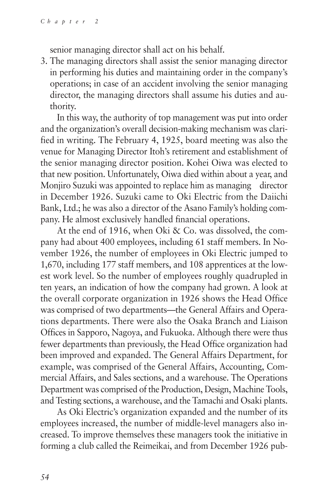senior managing director shall act on his behalf.

3. The managing directors shall assist the senior managing director in performing his duties and maintaining order in the company's operations; in case of an accident involving the senior managing director, the managing directors shall assume his duties and authority.

In this way, the authority of top management was put into order and the organization's overall decision-making mechanism was clarified in writing. The February 4, 1925, board meeting was also the venue for Managing Director Itoh's retirement and establishment of the senior managing director position. Kohei Oiwa was elected to that new position. Unfortunately, Oiwa died within about a year, and Monjiro Suzuki was appointed to replace him as managing director in December 1926. Suzuki came to Oki Electric from the Daiichi Bank, Ltd.; he was also a director of the Asano Family's holding company. He almost exclusively handled financial operations.

At the end of 1916, when Oki & Co. was dissolved, the company had about 400 employees, including 61 staff members. In November 1926, the number of employees in Oki Electric jumped to 1,670, including 177 staff members, and 108 apprentices at the lowest work level. So the number of employees roughly quadrupled in ten years, an indication of how the company had grown. A look at the overall corporate organization in 1926 shows the Head Office was comprised of two departments—the General Affairs and Operations departments. There were also the Osaka Branch and Liaison Offices in Sapporo, Nagoya, and Fukuoka. Although there were thus fewer departments than previously, the Head Office organization had been improved and expanded. The General Affairs Department, for example, was comprised of the General Affairs, Accounting, Commercial Affairs, and Sales sections, and a warehouse. The Operations Department was comprised of the Production, Design, Machine Tools, and Testing sections, a warehouse, and the Tamachi and Osaki plants.

As Oki Electric's organization expanded and the number of its employees increased, the number of middle-level managers also increased. To improve themselves these managers took the initiative in forming a club called the Reimeikai, and from December 1926 pub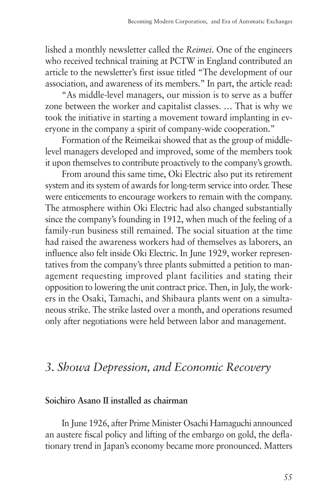lished a monthly newsletter called the *Reimei*. One of the engineers who received technical training at PCTW in England contributed an article to the newsletter's first issue titled "The development of our association, and awareness of its members." In part, the article read:

"As middle-level managers, our mission is to serve as a buffer zone between the worker and capitalist classes. … That is why we took the initiative in starting a movement toward implanting in everyone in the company a spirit of company-wide cooperation."

Formation of the Reimeikai showed that as the group of middlelevel managers developed and improved, some of the members took it upon themselves to contribute proactively to the company's growth.

From around this same time, Oki Electric also put its retirement system and its system of awards for long-term service into order. These were enticements to encourage workers to remain with the company. The atmosphere within Oki Electric had also changed substantially since the company's founding in 1912, when much of the feeling of a family-run business still remained. The social situation at the time had raised the awareness workers had of themselves as laborers, an influence also felt inside Oki Electric. In June 1929, worker representatives from the company's three plants submitted a petition to management requesting improved plant facilities and stating their opposition to lowering the unit contract price. Then, in July, the workers in the Osaki, Tamachi, and Shibaura plants went on a simultaneous strike. The strike lasted over a month, and operations resumed only after negotiations were held between labor and management.

# *3. Showa Depression, and Economic Recovery*

# **Soichiro Asano II installed as chairman**

In June 1926, after Prime Minister Osachi Hamaguchi announced an austere fiscal policy and lifting of the embargo on gold, the deflationary trend in Japan's economy became more pronounced. Matters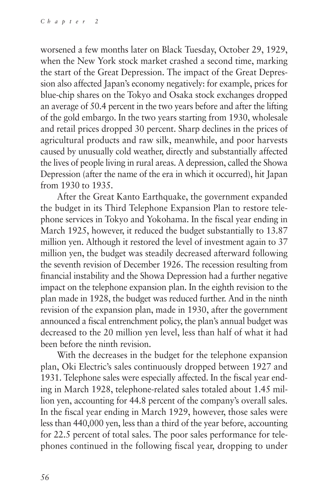worsened a few months later on Black Tuesday, October 29, 1929, when the New York stock market crashed a second time, marking the start of the Great Depression. The impact of the Great Depression also affected Japan's economy negatively: for example, prices for blue-chip shares on the Tokyo and Osaka stock exchanges dropped an average of 50.4 percent in the two years before and after the lifting of the gold embargo. In the two years starting from 1930, wholesale and retail prices dropped 30 percent. Sharp declines in the prices of agricultural products and raw silk, meanwhile, and poor harvests caused by unusually cold weather, directly and substantially affected the lives of people living in rural areas. A depression, called the Showa Depression (after the name of the era in which it occurred), hit Japan from 1930 to 1935.

After the Great Kanto Earthquake, the government expanded the budget in its Third Telephone Expansion Plan to restore telephone services in Tokyo and Yokohama. In the fiscal year ending in March 1925, however, it reduced the budget substantially to 13.87 million yen. Although it restored the level of investment again to 37 million yen, the budget was steadily decreased afterward following the seventh revision of December 1926. The recession resulting from financial instability and the Showa Depression had a further negative impact on the telephone expansion plan. In the eighth revision to the plan made in 1928, the budget was reduced further. And in the ninth revision of the expansion plan, made in 1930, after the government announced a fiscal entrenchment policy, the plan's annual budget was decreased to the 20 million yen level, less than half of what it had been before the ninth revision.

With the decreases in the budget for the telephone expansion plan, Oki Electric's sales continuously dropped between 1927 and 1931. Telephone sales were especially affected. In the fiscal year ending in March 1928, telephone-related sales totaled about 1.45 million yen, accounting for 44.8 percent of the company's overall sales. In the fiscal year ending in March 1929, however, those sales were less than 440,000 yen, less than a third of the year before, accounting for 22.5 percent of total sales. The poor sales performance for telephones continued in the following fiscal year, dropping to under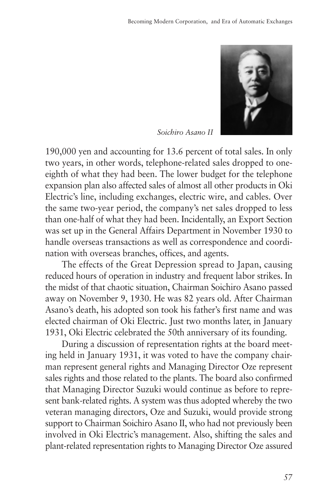

*Soichiro Asano II*

190,000 yen and accounting for 13.6 percent of total sales. In only two years, in other words, telephone-related sales dropped to oneeighth of what they had been. The lower budget for the telephone expansion plan also affected sales of almost all other products in Oki Electric's line, including exchanges, electric wire, and cables. Over the same two-year period, the company's net sales dropped to less than one-half of what they had been. Incidentally, an Export Section was set up in the General Affairs Department in November 1930 to handle overseas transactions as well as correspondence and coordination with overseas branches, offices, and agents.

The effects of the Great Depression spread to Japan, causing reduced hours of operation in industry and frequent labor strikes. In the midst of that chaotic situation, Chairman Soichiro Asano passed away on November 9, 1930. He was 82 years old. After Chairman Asano's death, his adopted son took his father's first name and was elected chairman of Oki Electric. Just two months later, in January 1931, Oki Electric celebrated the 50th anniversary of its founding.

During a discussion of representation rights at the board meeting held in January 1931, it was voted to have the company chairman represent general rights and Managing Director Oze represent sales rights and those related to the plants. The board also confirmed that Managing Director Suzuki would continue as before to represent bank-related rights. A system was thus adopted whereby the two veteran managing directors, Oze and Suzuki, would provide strong support to Chairman Soichiro Asano II, who had not previously been involved in Oki Electric's management. Also, shifting the sales and plant-related representation rights to Managing Director Oze assured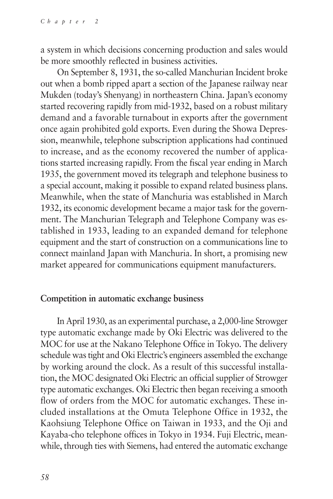a system in which decisions concerning production and sales would be more smoothly reflected in business activities.

On September 8, 1931, the so-called Manchurian Incident broke out when a bomb ripped apart a section of the Japanese railway near Mukden (today's Shenyang) in northeastern China. Japan's economy started recovering rapidly from mid-1932, based on a robust military demand and a favorable turnabout in exports after the government once again prohibited gold exports. Even during the Showa Depression, meanwhile, telephone subscription applications had continued to increase, and as the economy recovered the number of applications started increasing rapidly. From the fiscal year ending in March 1935, the government moved its telegraph and telephone business to a special account, making it possible to expand related business plans. Meanwhile, when the state of Manchuria was established in March 1932, its economic development became a major task for the government. The Manchurian Telegraph and Telephone Company was established in 1933, leading to an expanded demand for telephone equipment and the start of construction on a communications line to connect mainland Japan with Manchuria. In short, a promising new market appeared for communications equipment manufacturers.

#### **Competition in automatic exchange business**

In April 1930, as an experimental purchase, a 2,000-line Strowger type automatic exchange made by Oki Electric was delivered to the MOC for use at the Nakano Telephone Office in Tokyo. The delivery schedule was tight and Oki Electric's engineers assembled the exchange by working around the clock. As a result of this successful installation, the MOC designated Oki Electric an official supplier of Strowger type automatic exchanges. Oki Electric then began receiving a smooth flow of orders from the MOC for automatic exchanges. These included installations at the Omuta Telephone Office in 1932, the Kaohsiung Telephone Office on Taiwan in 1933, and the Oji and Kayaba-cho telephone offices in Tokyo in 1934. Fuji Electric, meanwhile, through ties with Siemens, had entered the automatic exchange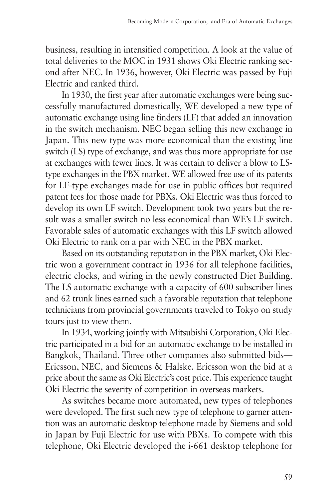business, resulting in intensified competition. A look at the value of total deliveries to the MOC in 1931 shows Oki Electric ranking second after NEC. In 1936, however, Oki Electric was passed by Fuji Electric and ranked third.

In 1930, the first year after automatic exchanges were being successfully manufactured domestically, WE developed a new type of automatic exchange using line finders (LF) that added an innovation in the switch mechanism. NEC began selling this new exchange in Japan. This new type was more economical than the existing line switch (LS) type of exchange, and was thus more appropriate for use at exchanges with fewer lines. It was certain to deliver a blow to LStype exchanges in the PBX market. WE allowed free use of its patents for LF-type exchanges made for use in public offices but required patent fees for those made for PBXs. Oki Electric was thus forced to develop its own LF switch. Development took two years but the result was a smaller switch no less economical than WE's LF switch. Favorable sales of automatic exchanges with this LF switch allowed Oki Electric to rank on a par with NEC in the PBX market.

Based on its outstanding reputation in the PBX market, Oki Electric won a government contract in 1936 for all telephone facilities, electric clocks, and wiring in the newly constructed Diet Building. The LS automatic exchange with a capacity of 600 subscriber lines and 62 trunk lines earned such a favorable reputation that telephone technicians from provincial governments traveled to Tokyo on study tours just to view them.

In 1934, working jointly with Mitsubishi Corporation, Oki Electric participated in a bid for an automatic exchange to be installed in Bangkok, Thailand. Three other companies also submitted bids— Ericsson, NEC, and Siemens & Halske. Ericsson won the bid at a price about the same as Oki Electric's cost price. This experience taught Oki Electric the severity of competition in overseas markets.

As switches became more automated, new types of telephones were developed. The first such new type of telephone to garner attention was an automatic desktop telephone made by Siemens and sold in Japan by Fuji Electric for use with PBXs. To compete with this telephone, Oki Electric developed the i-661 desktop telephone for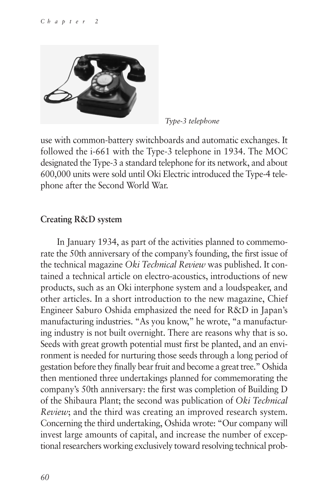

*Type-3 telephone*

use with common-battery switchboards and automatic exchanges. It followed the i-661 with the Type-3 telephone in 1934. The MOC designated the Type-3 a standard telephone for its network, and about 600,000 units were sold until Oki Electric introduced the Type-4 telephone after the Second World War.

# **Creating R&D system**

In January 1934, as part of the activities planned to commemorate the 50th anniversary of the company's founding, the first issue of the technical magazine *Oki Technical Review* was published. It contained a technical article on electro-acoustics, introductions of new products, such as an Oki interphone system and a loudspeaker, and other articles. In a short introduction to the new magazine, Chief Engineer Saburo Oshida emphasized the need for R&D in Japan's manufacturing industries. "As you know," he wrote, "a manufacturing industry is not built overnight. There are reasons why that is so. Seeds with great growth potential must first be planted, and an environment is needed for nurturing those seeds through a long period of gestation before they finally bear fruit and become a great tree." Oshida then mentioned three undertakings planned for commemorating the company's 50th anniversary: the first was completion of Building D of the Shibaura Plant; the second was publication of *Oki Technical Review*; and the third was creating an improved research system. Concerning the third undertaking, Oshida wrote: "Our company will invest large amounts of capital, and increase the number of exceptional researchers working exclusively toward resolving technical prob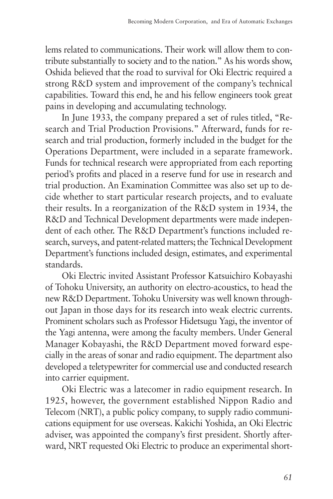lems related to communications. Their work will allow them to contribute substantially to society and to the nation." As his words show, Oshida believed that the road to survival for Oki Electric required a strong R&D system and improvement of the company's technical capabilities. Toward this end, he and his fellow engineers took great pains in developing and accumulating technology.

In June 1933, the company prepared a set of rules titled, "Research and Trial Production Provisions." Afterward, funds for research and trial production, formerly included in the budget for the Operations Department, were included in a separate framework. Funds for technical research were appropriated from each reporting period's profits and placed in a reserve fund for use in research and trial production. An Examination Committee was also set up to decide whether to start particular research projects, and to evaluate their results. In a reorganization of the R&D system in 1934, the R&D and Technical Development departments were made independent of each other. The R&D Department's functions included research, surveys, and patent-related matters; the Technical Development Department's functions included design, estimates, and experimental standards.

Oki Electric invited Assistant Professor Katsuichiro Kobayashi of Tohoku University, an authority on electro-acoustics, to head the new R&D Department. Tohoku University was well known throughout Japan in those days for its research into weak electric currents. Prominent scholars such as Professor Hidetsugu Yagi, the inventor of the Yagi antenna, were among the faculty members. Under General Manager Kobayashi, the R&D Department moved forward especially in the areas of sonar and radio equipment. The department also developed a teletypewriter for commercial use and conducted research into carrier equipment.

Oki Electric was a latecomer in radio equipment research. In 1925, however, the government established Nippon Radio and Telecom (NRT), a public policy company, to supply radio communications equipment for use overseas. Kakichi Yoshida, an Oki Electric adviser, was appointed the company's first president. Shortly afterward, NRT requested Oki Electric to produce an experimental short-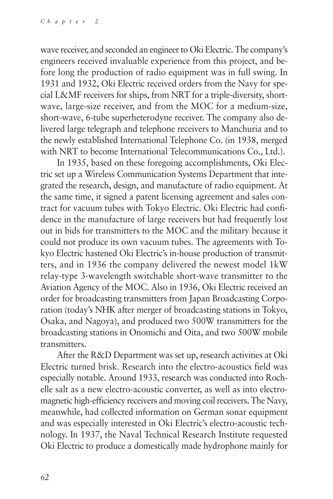wave receiver, and seconded an engineer to Oki Electric. The company's engineers received invaluable experience from this project, and before long the production of radio equipment was in full swing. In 1931 and 1932, Oki Electric received orders from the Navy for special L&MF receivers for ships, from NRT for a triple-diversity, shortwave, large-size receiver, and from the MOC for a medium-size, short-wave, 6-tube superheterodyne receiver. The company also delivered large telegraph and telephone receivers to Manchuria and to the newly established International Telephone Co. (in 1938, merged with NRT to become International Telecommunications Co., Ltd.).

In 1935, based on these foregoing accomplishments, Oki Electric set up a Wireless Communication Systems Department that integrated the research, design, and manufacture of radio equipment. At the same time, it signed a patent licensing agreement and sales contract for vacuum tubes with Tokyo Electric. Oki Electric had confidence in the manufacture of large receivers but had frequently lost out in bids for transmitters to the MOC and the military because it could not produce its own vacuum tubes. The agreements with Tokyo Electric hastened Oki Electric's in-house production of transmitters, and in 1936 the company delivered the newest model 1kW relay-type 3-wavelength switchable short-wave transmitter to the Aviation Agency of the MOC. Also in 1936, Oki Electric received an order for broadcasting transmitters from Japan Broadcasting Corporation (today's NHK after merger of broadcasting stations in Tokyo, Osaka, and Nagoya), and produced two 500W transmitters for the broadcasting stations in Onomichi and Oita, and two 500W mobile transmitters.

After the R&D Department was set up, research activities at Oki Electric turned brisk. Research into the electro-acoustics field was especially notable. Around 1933, research was conducted into Rochelle salt as a new electro-acoustic converter, as well as into electromagnetic high-efficiency receivers and moving coil receivers. The Navy, meanwhile, had collected information on German sonar equipment and was especially interested in Oki Electric's electro-acoustic technology. In 1937, the Naval Technical Research Institute requested Oki Electric to produce a domestically made hydrophone mainly for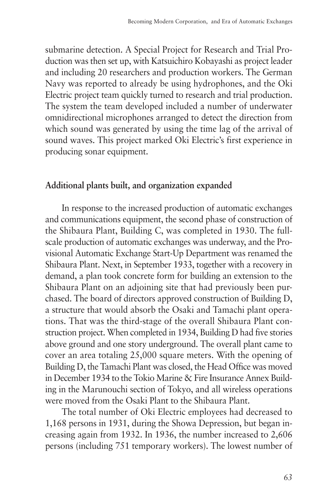submarine detection. A Special Project for Research and Trial Production was then set up, with Katsuichiro Kobayashi as project leader and including 20 researchers and production workers. The German Navy was reported to already be using hydrophones, and the Oki Electric project team quickly turned to research and trial production. The system the team developed included a number of underwater omnidirectional microphones arranged to detect the direction from which sound was generated by using the time lag of the arrival of sound waves. This project marked Oki Electric's first experience in producing sonar equipment.

# **Additional plants built, and organization expanded**

In response to the increased production of automatic exchanges and communications equipment, the second phase of construction of the Shibaura Plant, Building C, was completed in 1930. The fullscale production of automatic exchanges was underway, and the Provisional Automatic Exchange Start-Up Department was renamed the Shibaura Plant. Next, in September 1933, together with a recovery in demand, a plan took concrete form for building an extension to the Shibaura Plant on an adjoining site that had previously been purchased. The board of directors approved construction of Building D, a structure that would absorb the Osaki and Tamachi plant operations. That was the third-stage of the overall Shibaura Plant construction project. When completed in 1934, Building D had five stories above ground and one story underground. The overall plant came to cover an area totaling 25,000 square meters. With the opening of Building D, the Tamachi Plant was closed, the Head Office was moved in December 1934 to the Tokio Marine & Fire Insurance Annex Building in the Marunouchi section of Tokyo, and all wireless operations were moved from the Osaki Plant to the Shibaura Plant.

The total number of Oki Electric employees had decreased to 1,168 persons in 1931, during the Showa Depression, but began increasing again from 1932. In 1936, the number increased to 2,606 persons (including 751 temporary workers). The lowest number of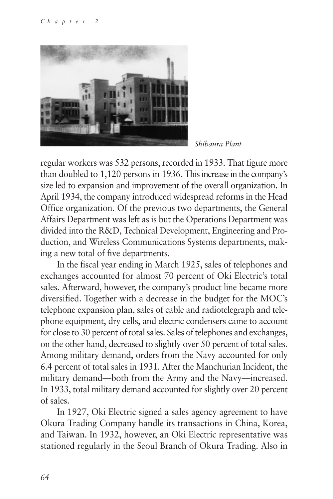

*Shibaura Plant*

regular workers was 532 persons, recorded in 1933. That figure more than doubled to 1,120 persons in 1936. This increase in the company's size led to expansion and improvement of the overall organization. In April 1934, the company introduced widespread reforms in the Head Office organization. Of the previous two departments, the General Affairs Department was left as is but the Operations Department was divided into the R&D, Technical Development, Engineering and Production, and Wireless Communications Systems departments, making a new total of five departments.

In the fiscal year ending in March 1925, sales of telephones and exchanges accounted for almost 70 percent of Oki Electric's total sales. Afterward, however, the company's product line became more diversified. Together with a decrease in the budget for the MOC's telephone expansion plan, sales of cable and radiotelegraph and telephone equipment, dry cells, and electric condensers came to account for close to 30 percent of total sales. Sales of telephones and exchanges, on the other hand, decreased to slightly over 50 percent of total sales. Among military demand, orders from the Navy accounted for only 6.4 percent of total sales in 1931. After the Manchurian Incident, the military demand—both from the Army and the Navy—increased. In 1933, total military demand accounted for slightly over 20 percent of sales.

In 1927, Oki Electric signed a sales agency agreement to have Okura Trading Company handle its transactions in China, Korea, and Taiwan. In 1932, however, an Oki Electric representative was stationed regularly in the Seoul Branch of Okura Trading. Also in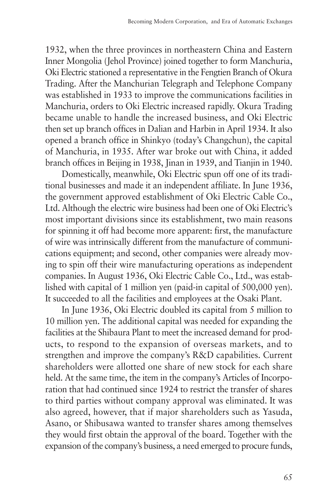1932, when the three provinces in northeastern China and Eastern Inner Mongolia (Jehol Province) joined together to form Manchuria, Oki Electric stationed a representative in the Fengtien Branch of Okura Trading. After the Manchurian Telegraph and Telephone Company was established in 1933 to improve the communications facilities in Manchuria, orders to Oki Electric increased rapidly. Okura Trading became unable to handle the increased business, and Oki Electric then set up branch offices in Dalian and Harbin in April 1934. It also opened a branch office in Shinkyo (today's Changchun), the capital of Manchuria, in 1935. After war broke out with China, it added branch offices in Beijing in 1938, Jinan in 1939, and Tianjin in 1940.

Domestically, meanwhile, Oki Electric spun off one of its traditional businesses and made it an independent affiliate. In June 1936, the government approved establishment of Oki Electric Cable Co., Ltd. Although the electric wire business had been one of Oki Electric's most important divisions since its establishment, two main reasons for spinning it off had become more apparent: first, the manufacture of wire was intrinsically different from the manufacture of communications equipment; and second, other companies were already moving to spin off their wire manufacturing operations as independent companies. In August 1936, Oki Electric Cable Co., Ltd., was established with capital of 1 million yen (paid-in capital of 500,000 yen). It succeeded to all the facilities and employees at the Osaki Plant.

In June 1936, Oki Electric doubled its capital from 5 million to 10 million yen. The additional capital was needed for expanding the facilities at the Shibaura Plant to meet the increased demand for products, to respond to the expansion of overseas markets, and to strengthen and improve the company's R&D capabilities. Current shareholders were allotted one share of new stock for each share held. At the same time, the item in the company's Articles of Incorporation that had continued since 1924 to restrict the transfer of shares to third parties without company approval was eliminated. It was also agreed, however, that if major shareholders such as Yasuda, Asano, or Shibusawa wanted to transfer shares among themselves they would first obtain the approval of the board. Together with the expansion of the company's business, a need emerged to procure funds,